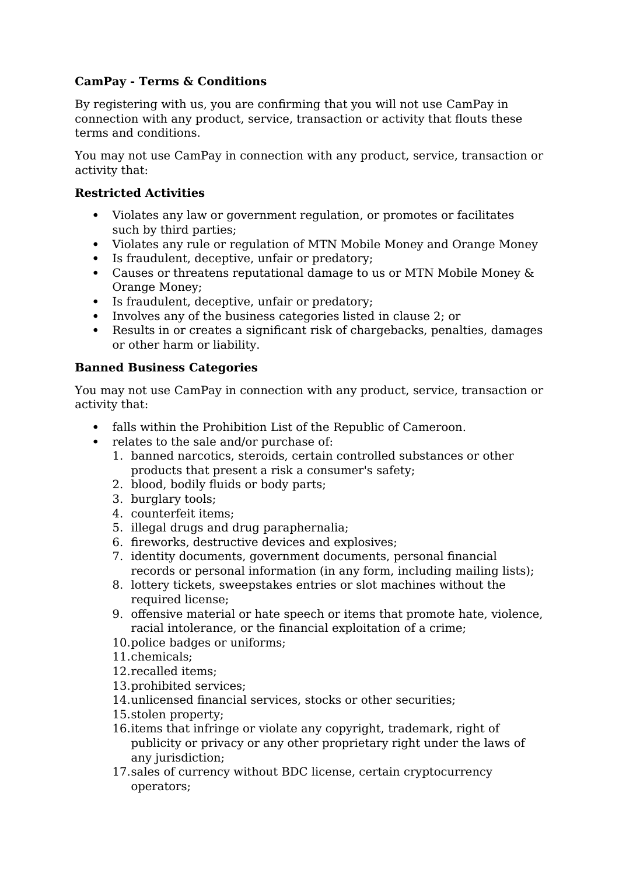## **CamPay - Terms & Conditions**

By registering with us, you are confirming that you will not use CamPay in connection with any product, service, transaction or activity that flouts these terms and conditions.

You may not use CamPay in connection with any product, service, transaction or activity that:

## **Restricted Activities**

- Violates any law or government regulation, or promotes or facilitates such by third parties;
- Violates any rule or regulation of MTN Mobile Money and Orange Money
- Is fraudulent, deceptive, unfair or predatory;
- Causes or threatens reputational damage to us or MTN Mobile Money & Orange Money;
- Is fraudulent, deceptive, unfair or predatory;
- Involves any of the business categories listed in clause 2; or
- Results in or creates a significant risk of chargebacks, penalties, damages or other harm or liability.

## **Banned Business Categories**

You may not use CamPay in connection with any product, service, transaction or activity that:

- falls within the Prohibition List of the Republic of Cameroon.
- relates to the sale and/or purchase of:
	- 1. banned narcotics, steroids, certain controlled substances or other products that present a risk a consumer's safety;
	- 2. blood, bodily fluids or body parts;
	- 3. burglary tools;
	- 4. counterfeit items;
	- 5. illegal drugs and drug paraphernalia;
	- 6. fireworks, destructive devices and explosives;
	- 7. identity documents, government documents, personal financial records or personal information (in any form, including mailing lists);
	- 8. lottery tickets, sweepstakes entries or slot machines without the required license;
	- 9. offensive material or hate speech or items that promote hate, violence, racial intolerance, or the financial exploitation of a crime;
	- 10.police badges or uniforms;
	- 11.chemicals;
	- 12.recalled items;
	- 13.prohibited services;
	- 14.unlicensed financial services, stocks or other securities;
	- 15.stolen property;
	- 16.items that infringe or violate any copyright, trademark, right of publicity or privacy or any other proprietary right under the laws of any jurisdiction:
	- 17.sales of currency without BDC license, certain cryptocurrency operators;